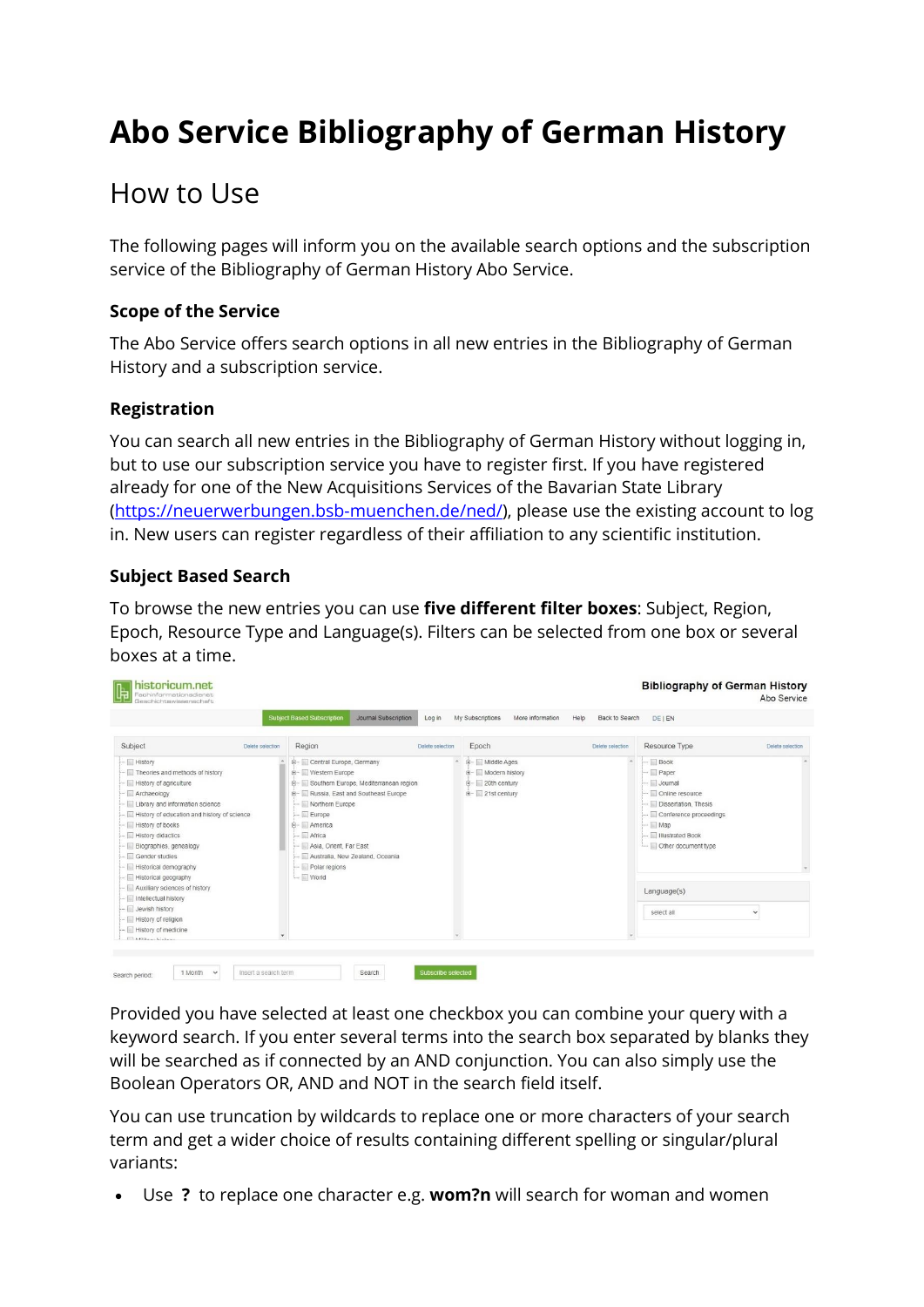# **Abo Service Bibliography of German History**

# How to Use

The following pages will inform you on the available search options and the subscription service of the Bibliography of German History Abo Service.

## **Scope of the Service**

The Abo Service offers search options in all new entries in the Bibliography of German History and a subscription service.

### **Registration**

You can search all new entries in the Bibliography of German History without logging in, but to use our subscription service you have to register first. If you have registered already for one of the New Acquisitions Services of the Bavarian State Library [\(https://neuerwerbungen.bsb-muenchen.de/ned/\)](https://neuerwerbungen.bsb-muenchen.de/ned/), please use the existing account to log in. New users can register regardless of their affiliation to any scientific institution.

### **Subject Based Search**

To browse the new entries you can use **five different filter boxes**: Subject, Region, Epoch, Resource Type and Language(s). Filters can be selected from one box or several boxes at a time.

|                                                                                                                                                                                                                                                                                                                                                                                                                                                                             |                  | <b>Subject Based Subscription</b>                                                                                                                                                                                                                                        | Journal Subscription                     | Log in           | My Subscriptions                                                              | More information<br>Help | Back to Search   | <b>DE1EN</b>                                                                                                                                                                                            |                  |  |
|-----------------------------------------------------------------------------------------------------------------------------------------------------------------------------------------------------------------------------------------------------------------------------------------------------------------------------------------------------------------------------------------------------------------------------------------------------------------------------|------------------|--------------------------------------------------------------------------------------------------------------------------------------------------------------------------------------------------------------------------------------------------------------------------|------------------------------------------|------------------|-------------------------------------------------------------------------------|--------------------------|------------------|---------------------------------------------------------------------------------------------------------------------------------------------------------------------------------------------------------|------------------|--|
| Subject                                                                                                                                                                                                                                                                                                                                                                                                                                                                     | Delete selection | Region                                                                                                                                                                                                                                                                   |                                          | Delete selection | Epoch                                                                         |                          | Delete selection | Resource Type                                                                                                                                                                                           | Delete selection |  |
| $\leftarrow$ $\Box$ History<br>Theories and methods of history<br>- History of agriculture<br>- Archaeology<br>Library and information science<br>- History of education and history of science<br>History of books<br>- Fistory didactics<br>- <b>El Biographies</b> , genealogy<br>- Gender studies<br>Historical demography<br>- Ill Historical geography<br>--- Auxiliary sciences of history<br>- Intellectual history<br>- La Jewish history<br>- History of religion |                  | E- Central Europe, Germany<br>ib- Western Europe<br><b>B-</b> Russia, East and Southeast Europe<br>Morthern Europe<br>$-$ Europe<br>E- America<br>$-$ Africa<br>- <b>National</b> Orient, Far East<br>- Australia, New Zealand, Oceania<br>Polar regions<br>$\Box$ World | E- Southern Europe, Mediterranean region |                  | + Middle Ages<br>+- Modern history<br><b>E</b> 20th century<br>E-21st century |                          |                  | $-$ Book<br>- Paper<br>- Journal<br>- Online resource<br>-- <b>Dissertation</b> , Thesis<br>Conference proceedings<br>$-$ Map<br>- Illustrated Book<br>Other document type<br>Language(s)<br>select all | $\checkmark$     |  |

Provided you have selected at least one checkbox you can combine your query with a keyword search. If you enter several terms into the search box separated by blanks they will be searched as if connected by an AND conjunction. You can also simply use the Boolean Operators OR, AND and NOT in the search field itself.

You can use truncation by wildcards to replace one or more characters of your search term and get a wider choice of results containing different spelling or singular/plural variants:

• Use **?** to replace one character e.g. **wom?n** will search for woman and women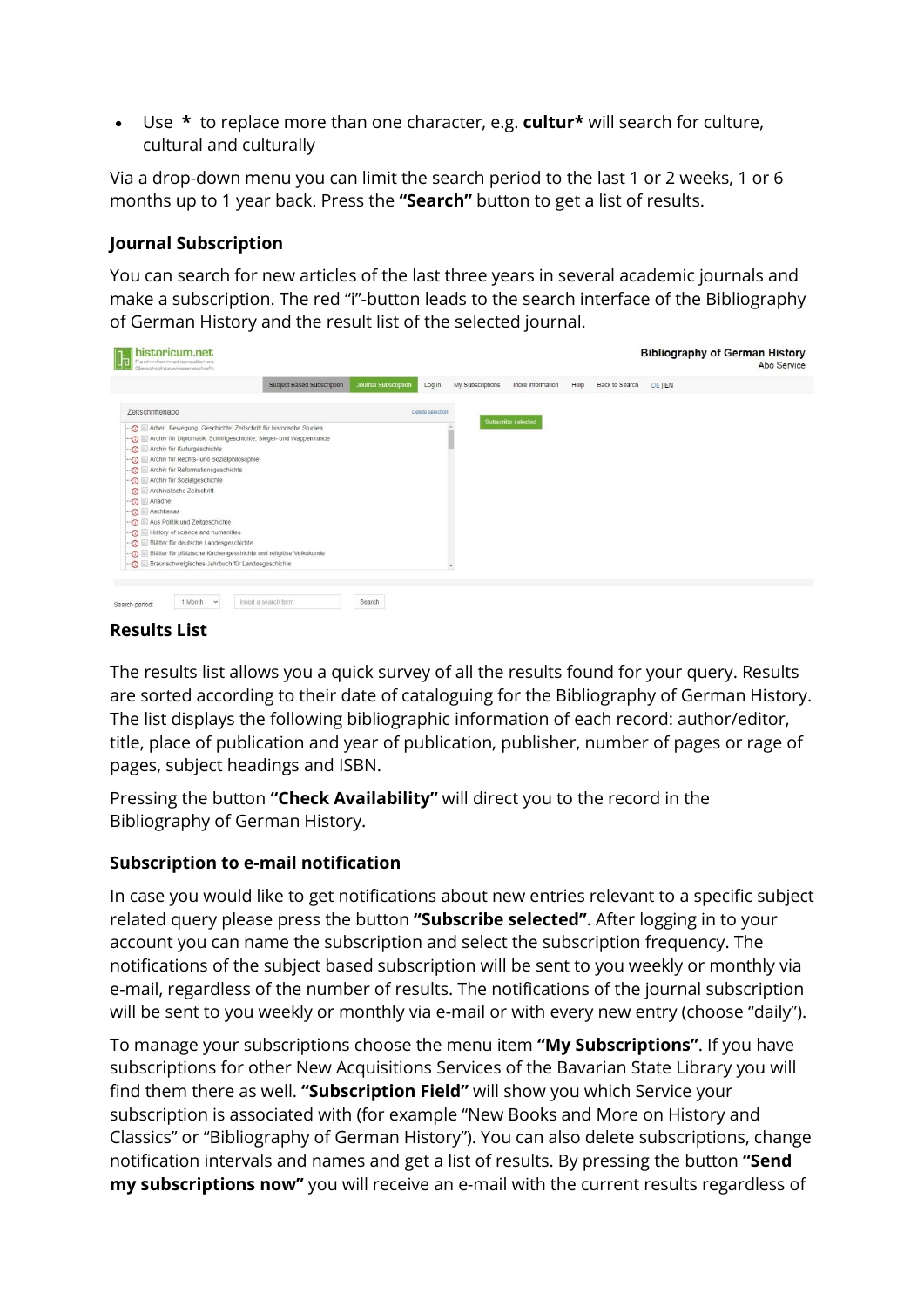• Use **\*** to replace more than one character, e.g. **cultur\*** will search for culture, cultural and culturally

Via a drop-down menu you can limit the search period to the last 1 or 2 weeks, 1 or 6 months up to 1 year back. Press the **"Search"** button to get a list of results.

#### **Journal Subscription**

You can search for new articles of the last three years in several academic journals and make a subscription. The red "i"-button leads to the search interface of the Bibliography of German History and the result list of the selected journal.

| Subject Based Subscription<br><b>Journal Subscription</b><br>My Subscriptions<br>More information<br>Help<br>Back to Search<br>Log in<br><b>DEIEN</b><br>Zeitschriftenabo<br>Delete selection<br>Subscribe selected<br>Arbeit, Bewegung, Geschichte: Zeitschrift für historische Studien<br>Archiv für Diplomatik, Schriftgeschichte, Siegel- und Wappenkunde<br>Archiv für Kulturgeschichte<br>Archiv für Rechts- und Sozialphilosophie<br>Archiv für Reformationsgeschichte<br>Archiv für Sozialgeschichte<br>Archivalische Zeitschrift<br>O Ariadne<br>no Aschkenas<br>Aus Politik und Zeitgeschichte<br>History of science and humanities<br>Blätter für deutsche Landesgeschichte<br>$\odot$<br>Blätter für pfälzische Kirchengeschichte und religiöse Volkskunde<br>$\odot$<br>Braunschweigisches Jahrbuch für Landesgeschichte | historicum.net<br>Fachinformationadienst<br>Geschichtswisssenschaft |  |  |  | <b>Bibliography of German History</b> | Abo Service |
|---------------------------------------------------------------------------------------------------------------------------------------------------------------------------------------------------------------------------------------------------------------------------------------------------------------------------------------------------------------------------------------------------------------------------------------------------------------------------------------------------------------------------------------------------------------------------------------------------------------------------------------------------------------------------------------------------------------------------------------------------------------------------------------------------------------------------------------|---------------------------------------------------------------------|--|--|--|---------------------------------------|-------------|
|                                                                                                                                                                                                                                                                                                                                                                                                                                                                                                                                                                                                                                                                                                                                                                                                                                       |                                                                     |  |  |  |                                       |             |
|                                                                                                                                                                                                                                                                                                                                                                                                                                                                                                                                                                                                                                                                                                                                                                                                                                       |                                                                     |  |  |  |                                       |             |
|                                                                                                                                                                                                                                                                                                                                                                                                                                                                                                                                                                                                                                                                                                                                                                                                                                       | $\odot$                                                             |  |  |  |                                       |             |

#### **Results List**

The results list allows you a quick survey of all the results found for your query. Results are sorted according to their date of cataloguing for the Bibliography of German History. The list displays the following bibliographic information of each record: author/editor, title, place of publication and year of publication, publisher, number of pages or rage of pages, subject headings and ISBN.

Pressing the button **"Check Availability"** will direct you to the record in the Bibliography of German History.

### **Subscription to e-mail notification**

In case you would like to get notifications about new entries relevant to a specific subject related query please press the button **"Subscribe selected"**. After logging in to your account you can name the subscription and select the subscription frequency. The notifications of the subject based subscription will be sent to you weekly or monthly via e-mail, regardless of the number of results. The notifications of the journal subscription will be sent to you weekly or monthly via e-mail or with every new entry (choose "daily").

To manage your subscriptions choose the menu item **"My Subscriptions"**. If you have subscriptions for other New Acquisitions Services of the Bavarian State Library you will find them there as well. **"Subscription Field"** will show you which Service your subscription is associated with (for example "New Books and More on History and Classics" or "Bibliography of German History"). You can also delete subscriptions, change notification intervals and names and get a list of results. By pressing the button **"Send my subscriptions now"** you will receive an e-mail with the current results regardless of